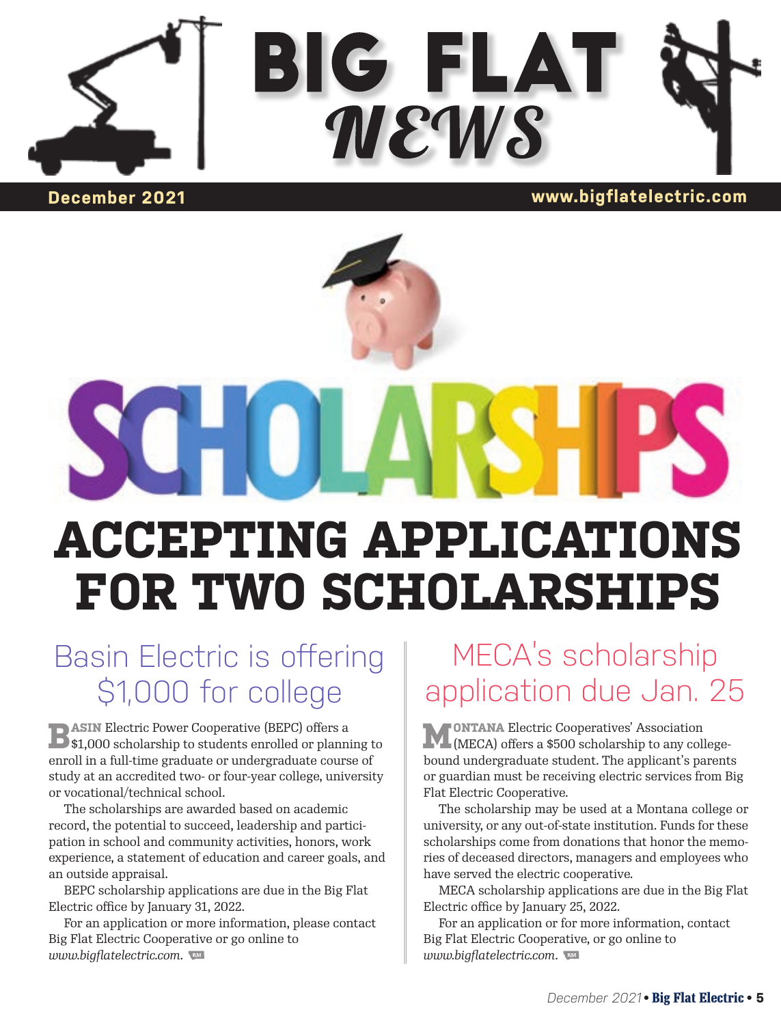



#### **December 2021 www.bigflatelectric.com**

# **ACCEPTING APPLICATIONS FOR TWO SCHOLARSHIPS**

## Basin Electric is offering \$1,000 for college

**BASIN** Electric Power Cooperative (BEPC) offers a \$1,000 scholarship to students enrolled or planning to enroll in a full-time graduate or undergraduate course of study at an accredited two- or four-year college, university or vocational/technical school.

The scholarships are awarded based on academic record, the potential to succeed, leadership and participation in school and community activities, honors, work experience, a statement of education and career goals, and an outside appraisal.

BEPC scholarship applications are due in the Big Flat Electric office by January 31, 2022.

For an application or more information, please contact Big Flat Electric Cooperative or go online to *www.bigflatelectric.com*.

## MECA's scholarship application due Jan. 25

**MONTANA** Electric Cooperatives' Association (MECA) offers a \$500 scholarship to any collegebound undergraduate student. The applicant's parents or guardian must be receiving electric services from Big Flat Electric Cooperative.

The scholarship may be used at a Montana college or university, or any out-of-state institution. Funds for these scholarships come from donations that honor the memories of deceased directors, managers and employees who have served the electric cooperative.

MECA scholarship applications are due in the Big Flat Electric office by January 25, 2022.

For an application or for more information, contact Big Flat Electric Cooperative, or go online to *www.bigflatelectric.com*.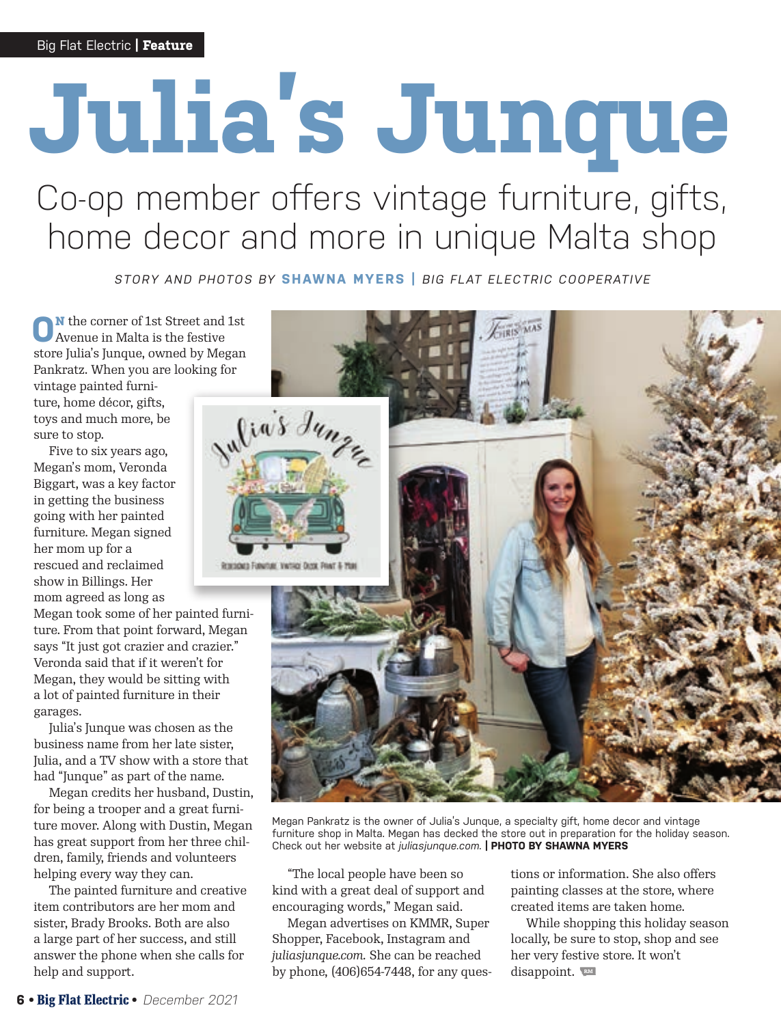# **Julia's Junque**

## Co-op member offers vintage furniture, gifts, home decor and more in unique Malta shop

*STORY AND PHOTOS BY* **SHAWNA MYERS |** *BIG FLAT ELECTRIC COOPERATIVE*

**N** the corner of 1st Street and 1st Avenue in Malta is the festive store Julia's Junque, owned by Megan Pankratz. When you are looking for

vintage painted furniture, home décor, gifts, toys and much more, be sure to stop.

Five to six years ago, Megan's mom, Veronda Biggart, was a key factor in getting the business going with her painted furniture. Megan signed her mom up for a rescued and reclaimed show in Billings. Her mom agreed as long as

Megan took some of her painted furniture. From that point forward, Megan says "It just got crazier and crazier." Veronda said that if it weren't for Megan, they would be sitting with a lot of painted furniture in their garages.

Julia's Junque was chosen as the business name from her late sister, Julia, and a TV show with a store that had "Junque" as part of the name.

Megan credits her husband, Dustin, for being a trooper and a great furniture mover. Along with Dustin, Megan has great support from her three children, family, friends and volunteers helping every way they can.

The painted furniture and creative item contributors are her mom and sister, Brady Brooks. Both are also a large part of her success, and still answer the phone when she calls for help and support.



Megan Pankratz is the owner of Julia's Junque, a specialty gift, home decor and vintage furniture shop in Malta. Megan has decked the store out in preparation for the holiday season. Check out her website at *juliasjunque.com.* **| PHOTO BY SHAWNA MYERS**

"The local people have been so kind with a great deal of support and encouraging words," Megan said.

Megan advertises on KMMR, Super Shopper, Facebook, Instagram and *juliasjunque.com.* She can be reached by phone, (406)654-7448, for any questions or information. She also offers painting classes at the store, where created items are taken home.

While shopping this holiday season locally, be sure to stop, shop and see her very festive store. It won't disappoint.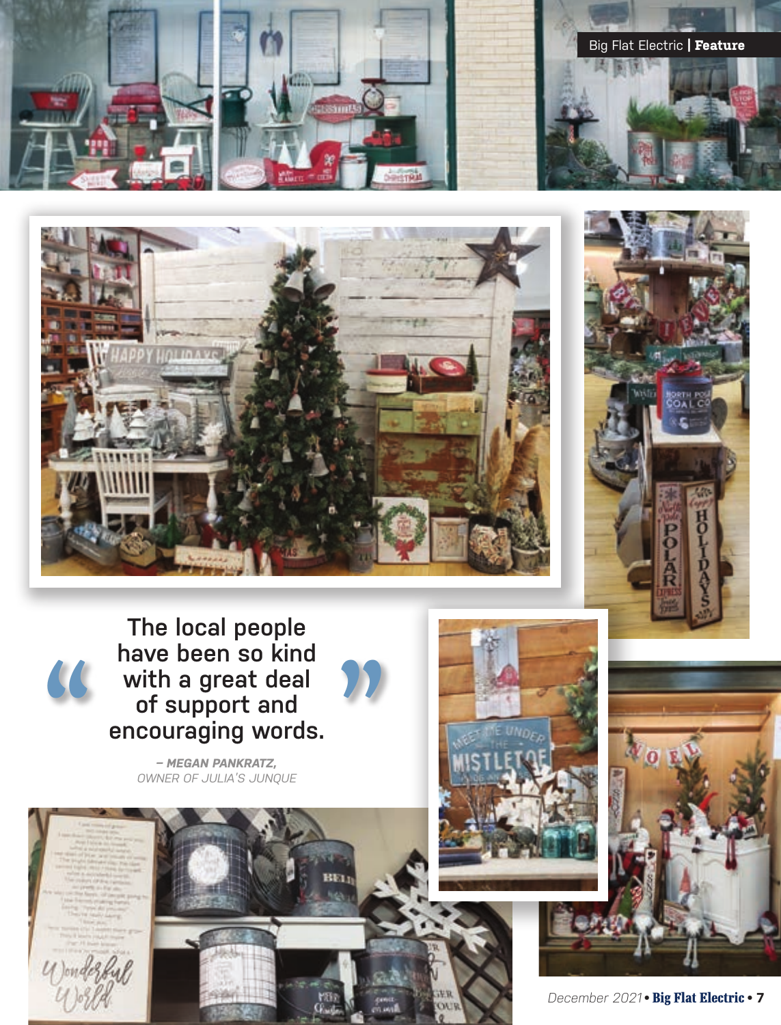





With a great deal<br>of support and<br>encouraging words.<br>A REGAN PANKRATZ,<br>OWNER OF JULIA'S JUNQUE **The local people have been so kind with a great deal of support and encouraging words.**

*– MEGAN PANKRATZ, OWNER OF JULIA'S JUNQUE* 



u Jondez<br>U Jose